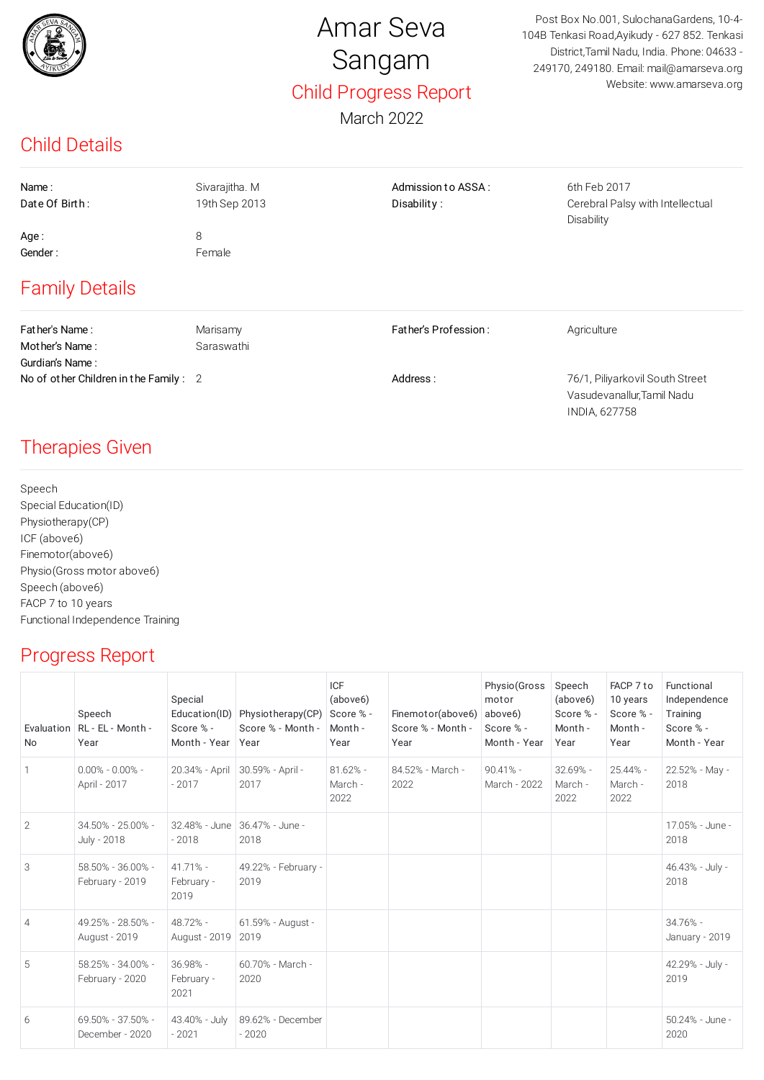

# Amar Seva Sangam Child Progress Report

Post Box No.001, SulochanaGardens, 10-4- 104B Tenkasi Road,Ayikudy - 627 852. Tenkasi District,Tamil Nadu, India. Phone: 04633 - 249170, 249180. Email: mail@amarseva.org Website: www.amarseva.org

INDIA, 627758

#### March 2022

### Child Details

| Name:<br>Date Of Birth:<br>Age:<br>Gender:<br><b>Family Details</b>                          | Sivarajitha. M<br>19th Sep 2013<br>8<br>Female | Admission to ASSA:<br>Disability: | 6th Feb 2017<br>Cerebral Palsy with Intellectual<br>Disability               |
|----------------------------------------------------------------------------------------------|------------------------------------------------|-----------------------------------|------------------------------------------------------------------------------|
| Father's Name:<br>Mother's Name:<br>Gurdian's Name:<br>No of other Children in the Family: 2 | Marisamy<br>Saraswathi                         | Father's Profession:<br>Address:  | Agriculture<br>76/1, Piliyarkovil South Street<br>Vasudevanallur, Tamil Nadu |

# Therapies Given

Speech Special Education(ID) Physiotherapy(CP) ICF (above6) Finemotor(above6) Physio(Gross motor above6) Speech (above6) FACP 7 to 10 years Functional Independence Training

# Progress Report

| Evaluation<br>No | Speech<br>RL - EL - Month -<br>Year                                                                                                                                                                                                                                       | Special<br>Education(ID)<br>Score % -<br>Month - Year | Physiotherapy(CP)<br>Score % - Month -<br>Year | <b>ICF</b><br>(above6)<br>Score % -<br>Month -<br>Year | Finemotor(above6)<br>Score % - Month -<br>Year | Physio (Gross<br>motor<br>above <sub>6</sub> )<br>Score % -<br>Month - Year | Speech<br>(above6)<br>Score % -<br>Month -<br>Year | FACP 7 to<br>10 years<br>Score % -<br>Month -<br>Year | Functional<br>Independence<br>Training<br>Score % -<br>Month - Year |
|------------------|---------------------------------------------------------------------------------------------------------------------------------------------------------------------------------------------------------------------------------------------------------------------------|-------------------------------------------------------|------------------------------------------------|--------------------------------------------------------|------------------------------------------------|-----------------------------------------------------------------------------|----------------------------------------------------|-------------------------------------------------------|---------------------------------------------------------------------|
|                  | $0.00\% - 0.00\% - 0.00\% - 0.00\% - 0.00\% - 0.00\% - 0.00\% - 0.00\% - 0.00\% - 0.00\% - 0.00\% - 0.00\% - 0.00\% - 0.00\% - 0.00\% - 0.00\% - 0.00\% - 0.00\% - 0.00\% - 0.00\% - 0.00\% - 0.00\% - 0.00\% - 0.00\% - 0.00\% - 0.00\% - 0.00\% - 0.00$<br>April - 2017 | 20.34% - April<br>$-2017$                             | 30.59% - April -<br>2017                       | $81.62\%$ -<br>March -<br>2022                         | 84.52% - March -<br>2022                       | $90.41% -$<br>March - 2022                                                  | $32.69% -$<br>March -<br>2022                      | 25.44% -<br>March -<br>2022                           | 22.52% - May -<br>2018                                              |
| 2                | 34.50% - 25.00% -<br>July - 2018                                                                                                                                                                                                                                          | $-2018$                                               | 32.48% - June 36.47% - June -<br>2018          |                                                        |                                                |                                                                             |                                                    |                                                       | 17.05% - June -<br>2018                                             |
| 3                | 58.50% - 36.00% -<br>February - 2019                                                                                                                                                                                                                                      | $41.71% -$<br>February -<br>2019                      | 49.22% - February -<br>2019                    |                                                        |                                                |                                                                             |                                                    |                                                       | 46.43% - July -<br>2018                                             |
| 4                | 49.25% - 28.50% -<br>August - 2019                                                                                                                                                                                                                                        | 48.72% -<br>August - 2019                             | 61.59% - August -<br>2019                      |                                                        |                                                |                                                                             |                                                    |                                                       | $34.76% -$<br>January - 2019                                        |
| 5                | 58.25% - 34.00% -<br>February - 2020                                                                                                                                                                                                                                      | $36.98% -$<br>February -<br>2021                      | 60.70% - March -<br>2020                       |                                                        |                                                |                                                                             |                                                    |                                                       | 42.29% - July -<br>2019                                             |
| 6                | 69.50% - 37.50% -<br>December - 2020                                                                                                                                                                                                                                      | 43.40% - July<br>$-2021$                              | 89.62% - December<br>$-2020$                   |                                                        |                                                |                                                                             |                                                    |                                                       | 50.24% - June -<br>2020                                             |